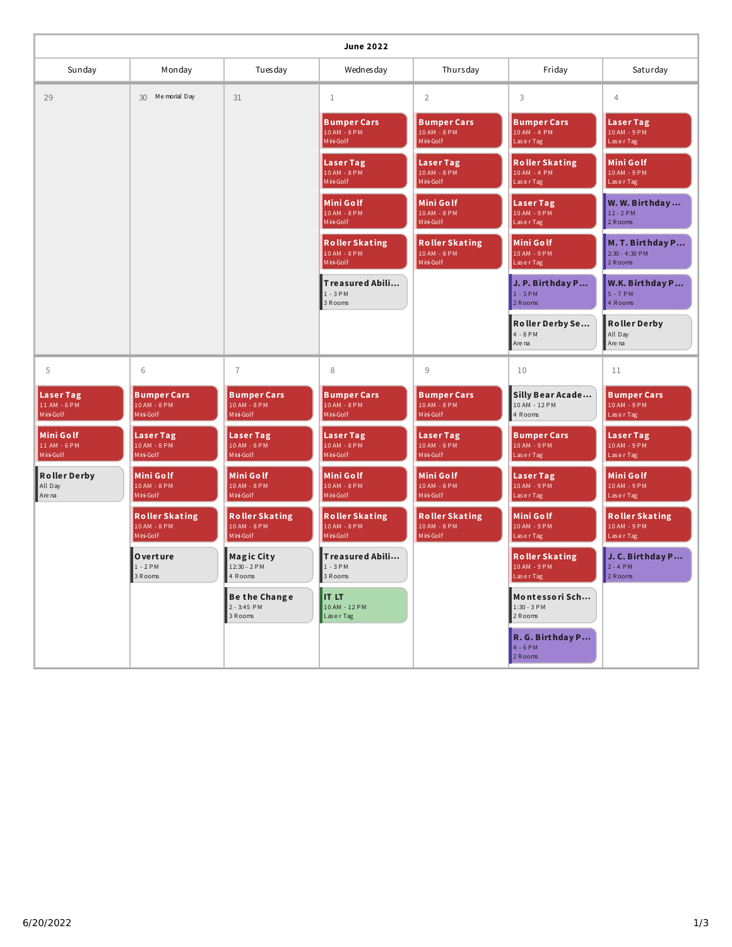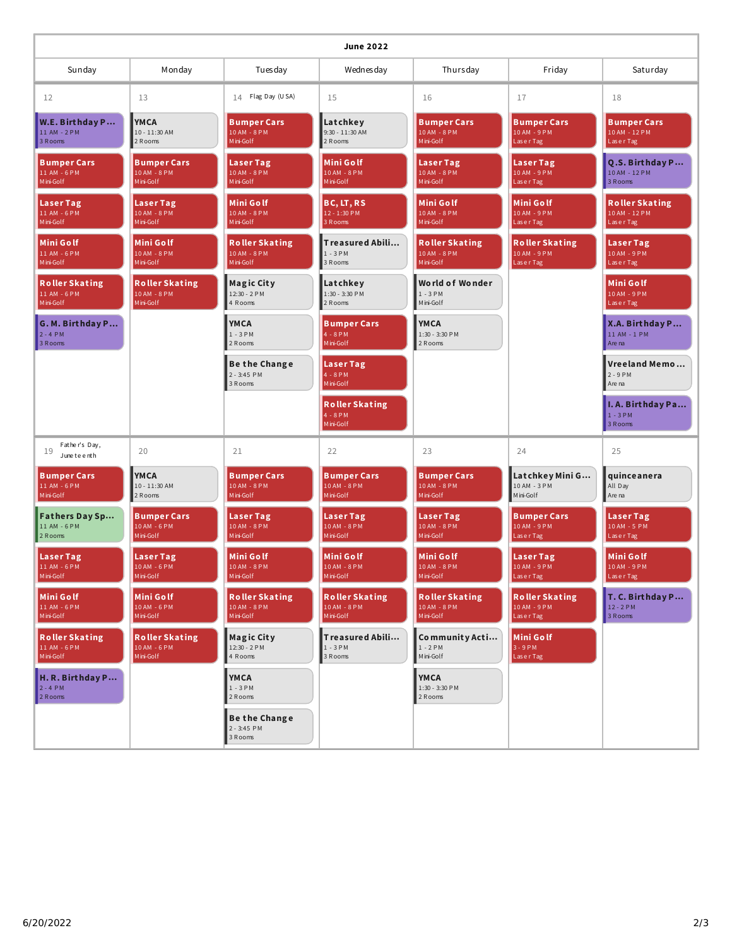